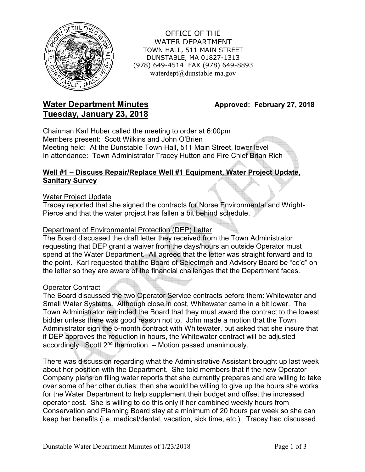

OFFICE OF THE WATER DEPARTMENT TOWN HALL, 511 MAIN STREET DUNSTABLE, MA 01827-1313 (978) 649-4514 FAX (978) 649-8893 waterdept@dunstable-ma.gov

# **Water Department Minutes Approved: February 27, 2018 Tuesday, January 23, 2018**

Chairman Karl Huber called the meeting to order at 6:00pm Members present: Scott Wilkins and John O'Brien Meeting held: At the Dunstable Town Hall, 511 Main Street, lower level In attendance: Town Administrator Tracey Hutton and Fire Chief Brian Rich

## **Well #1 – Discuss Repair/Replace Well #1 Equipment, Water Project Update, Sanitary Survey**

#### Water Project Update

Tracey reported that she signed the contracts for Norse Environmental and Wright-Pierce and that the water project has fallen a bit behind schedule.

#### Department of Environmental Protection (DEP) Letter

The Board discussed the draft letter they received from the Town Administrator requesting that DEP grant a waiver from the days/hours an outside Operator must spend at the Water Department. All agreed that the letter was straight forward and to the point. Karl requested that the Board of Selectmen and Advisory Board be "cc'd" on the letter so they are aware of the financial challenges that the Department faces.

#### Operator Contract

The Board discussed the two Operator Service contracts before them: Whitewater and Small Water Systems. Although close in cost, Whitewater came in a bit lower. The Town Administrator reminded the Board that they must award the contract to the lowest bidder unless there was good reason not to. John made a motion that the Town Administrator sign the 5-month contract with Whitewater, but asked that she insure that if DEP approves the reduction in hours, the Whitewater contract will be adjusted accordingly. Scott  $2^{nd}$  the motion. – Motion passed unanimously.

There was discussion regarding what the Administrative Assistant brought up last week about her position with the Department. She told members that if the new Operator Company plans on filing water reports that she currently prepares and are willing to take over some of her other duties; then she would be willing to give up the hours she works for the Water Department to help supplement their budget and offset the increased operator cost. She is willing to do this only if her combined weekly hours from Conservation and Planning Board stay at a minimum of 20 hours per week so she can keep her benefits (i.e. medical/dental, vacation, sick time, etc.). Tracey had discussed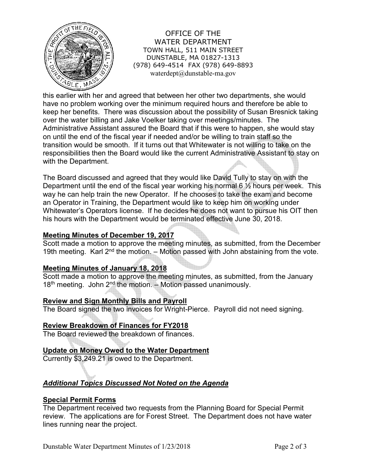

OFFICE OF THE WATER DEPARTMENT TOWN HALL, 511 MAIN STREET DUNSTABLE, MA 01827-1313 (978) 649-4514 FAX (978) 649-8893 waterdept@dunstable-ma.gov

this earlier with her and agreed that between her other two departments, she would have no problem working over the minimum required hours and therefore be able to keep her benefits. There was discussion about the possibility of Susan Bresnick taking over the water billing and Jake Voelker taking over meetings/minutes. The Administrative Assistant assured the Board that if this were to happen, she would stay on until the end of the fiscal year if needed and/or be willing to train staff so the transition would be smooth. If it turns out that Whitewater is not willing to take on the responsibilities then the Board would like the current Administrative Assistant to stay on with the Department.

The Board discussed and agreed that they would like David Tully to stay on with the Department until the end of the fiscal year working his normal  $6\frac{1}{2}$  hours per week. This way he can help train the new Operator. If he chooses to take the exam and become an Operator in Training, the Department would like to keep him on working under Whitewater's Operators license. If he decides he does not want to pursue his OIT then his hours with the Department would be terminated effective June 30, 2018.

## **Meeting Minutes of December 19, 2017**

Scott made a motion to approve the meeting minutes, as submitted, from the December 19th meeting. Karl  $2^{nd}$  the motion. – Motion passed with John abstaining from the vote.

#### **Meeting Minutes of January 18, 2018**

Scott made a motion to approve the meeting minutes, as submitted, from the January  $18<sup>th</sup>$  meeting. John  $2<sup>nd</sup>$  the motion. – Motion passed unanimously.

#### **Review and Sign Monthly Bills and Payroll**

The Board signed the two invoices for Wright-Pierce. Payroll did not need signing.

#### **Review Breakdown of Finances for FY2018**

The Board reviewed the breakdown of finances.

#### **Update on Money Owed to the Water Department**

Currently \$3,249.21 is owed to the Department.

# *Additional Topics Discussed Not Noted on the Agenda*

#### **Special Permit Forms**

The Department received two requests from the Planning Board for Special Permit review. The applications are for Forest Street. The Department does not have water lines running near the project.